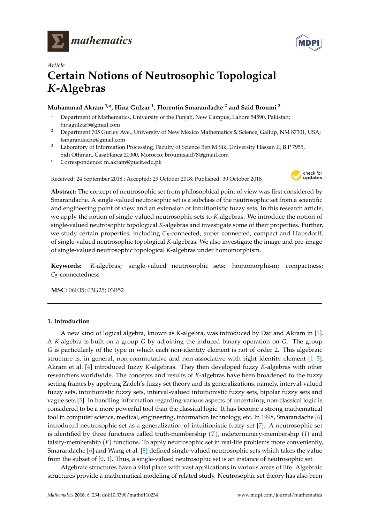



# *Article* **Certain Notions of Neutrosophic Topological** *K***-Algebras**

## **Muhammad Akram 1,\*, Hina Gulzar <sup>1</sup> , Florentin Smarandache <sup>2</sup> and Said Broumi <sup>3</sup>**

- <sup>1</sup> Department of Mathematics, University of the Punjab, New Campus, Lahore 54590, Pakistan; hinagulzar5@gmail.com
- <sup>2</sup> Department 705 Gurley Ave., University of New Mexico Mathematics & Science, Gallup, NM 87301, USA; fsmarandache@gmail.com
- <sup>3</sup> Laboratory of Information Processing, Faculty of Science Ben M'Sik, University Hassan II, B.P 7955, Sidi Othman, Casablanca 20000, Morocco; broumisaid78@gmail.com
- **\*** Correspondence: m.akram@pucit.edu.pk

Received: 24 September 2018 ; Accepted: 29 October 2018; Published: 30 October 2018



**Abstract:** The concept of neutrosophic set from philosophical point of view was first considered by Smarandache. A single-valued neutrosophic set is a subclass of the neutrosophic set from a scientific and engineering point of view and an extension of intuitionistic fuzzy sets. In this research article, we apply the notion of single-valued neutrosophic sets to *K*-algebras. We introduce the notion of single-valued neutrosophic topological *K*-algebras and investigate some of their properties. Further, we study certain properties, including C<sub>5</sub>-connected, super connected, compact and Hausdorff, of single-valued neutrosophic topological *K*-algebras. We also investigate the image and pre-image of single-valued neutrosophic topological *K*-algebras under homomorphism.

**Keywords:** *K*-algebras; single-valued neutrosophic sets; homomorphism; compactness; *C*5-connectedness

**MSC:** 06F35; 03G25; 03B52

### **1. Introduction**

A new kind of logical algebra, known as *K*-algebra, was introduced by Dar and Akram in [\[1\]](#page-13-0). A *K*-algebra is built on a group *G* by adjoining the induced binary operation on *G*. The group *G* is particularly of the type in which each non-identity element is not of order 2. This algebraic structure is, in general, non-commutative and non-associative with right identity element [\[1](#page-13-0)[–3\]](#page-13-1). Akram et al. [\[4\]](#page-13-2) introduced fuzzy *K*-algebras. They then developed fuzzy *K*-algebras with other researchers worldwide. The concepts and results of *K*-algebras have been broadened to the fuzzy setting frames by applying Zadeh's fuzzy set theory and its generalizations, namely, interval-valued fuzzy sets, intuitionistic fuzzy sets, interval-valued intuitionistic fuzzy sets, bipolar fuzzy sets and vague sets [\[5\]](#page-13-3). In handling information regarding various aspects of uncertainty, non-classical logic is considered to be a more powerful tool than the classical logic. It has become a strong mathematical tool in computer science, medical, engineering, information technology, etc. In 1998, Smarandache [\[6\]](#page-13-4) introduced neutrosophic set as a generalization of intuitionistic fuzzy set [\[7\]](#page-13-5). A neutrosophic set is identified by three functions called truth-membership (*T*), indeterminacy-membership (*I*) and falsity-membership (*F*) functions. To apply neutrosophic set in real-life problems more conveniently, Smarandache [\[6\]](#page-13-4) and Wang et al. [\[8\]](#page-13-6) defined single-valued neutrosophic sets which takes the value from the subset of [0, 1]. Thus, a single-valued neutrosophic set is an instance of neutrosophic set.

Algebraic structures have a vital place with vast applications in various areas of life. Algebraic structures provide a mathematical modeling of related study. Neutrosophic set theory has also been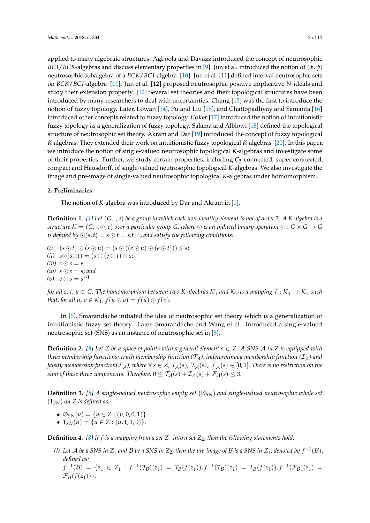applied to many algebraic structures. Agboola and Davazz introduced the concept of neutrosophic *BC I*/*BCK*-algebras and discuss elementary properties in [\[9\]](#page-13-7). Jun et al. introduced the notion of (*φ*, *ψ*) neutrosophic subalgebra of a *BCK*/*BC I*-algebra [\[10\]](#page-13-8). Jun et al. [11] defined interval neutrosophic sets on *BCK*/*BC I*-algebra [\[11\]](#page-13-9). Jun et al. [12] proposed neutrosophic positive implicative *N*-ideals and study their extension property [\[12\]](#page-13-10) Several set theories and their topological structures have been introduced by many researchers to deal with uncertainties. Chang [\[13\]](#page-13-11) was the first to introduce the notion of fuzzy topology. Later, Lowan [\[14\]](#page-13-12), Pu and Liu [\[15\]](#page-13-13), and Chattopadhyay and Samanta [\[16\]](#page-13-14) introduced other concepts related to fuzzy topology. Coker [\[17\]](#page-14-0) introduced the notion of intuitionistic fuzzy topology as a generalization of fuzzy topology. Salama and Alblowi [\[18\]](#page-14-1) defined the topological structure of neutrosophic set theory. Akram and Dar [\[19\]](#page-14-2) introduced the concept of fuzzy topological *K*-algebras. They extended their work on intuitionistic fuzzy topological *K*-algebras [\[20\]](#page-14-3). In this paper, we introduce the notion of single-valued neutrosophic topological *K*-algebras and investigate some of their properties. Further, we study certain properties, including *C*5-connected, super connected, compact and Hausdorff, of single-valued neutrosophic topological *K*-algebras. We also investigate the image and pre-image of single-valued neutrosophic topological *K*-algebras under homomorphism.

#### **2. Preliminaries**

The notion of *K*-algebra was introduced by Dar and Akram in [\[1\]](#page-13-0).

**Definition 1.** *[\[1\]](#page-13-0) Let* (*G*, ·,*e*) *be a group in which each non-identity element is not of order* 2*. A K-algebra is a structure*  $K = (G, \cdot, \odot, e)$  *over a particular group* G, where  $\odot$  *is an induced binary operation*  $\odot : G \times G \to G$ is defined by  $\odot$  (s, t)  $=$  s  $\odot$  t  $=$  s.t<sup> $-1$ </sup>, and satisfy the following conditions:

*(i)*  $(s \odot t) \odot (s \odot u) = (s \odot ((e \odot u) \odot (e \odot t))) \odot s;$ (*ii*)  $s \odot (s \odot t) = (s \odot (e \odot t) \odot s;$ (*iii*)  $s \odot s = e$ ;  $(iv)$   $s \odot e = s$ ; and  $(v)$   $e \odot s = s^{-1}$ 

*for all s, t,*  $u \in G$ . The homomorphism between two K-algebras  $K_1$  and  $K_2$  is a mapping  $f : K_1 \to K_2$  such *that, for all*  $u, v \in \mathcal{K}_1$ *,*  $f(u \odot v) = f(u) \odot f(v)$ *.* 

In [\[6\]](#page-13-4), Smarandache initiated the idea of neutrosophic set theory which is a generalization of intuitionistic fuzzy set theory. Later, Smarandache and Wang et al. introduced a single-valued neutrosophic set (SNS) as an instance of neutrosophic set in [\[8\]](#page-13-6).

**Definition 2.** [\[8\]](#page-13-6) Let *Z* be a space of points with a general element  $s \in Z$ . A SNS A in *Z* is equipped with *three membership functions: truth membership function (T<sub>A</sub>), indeterminacy membership function (T<sub>A</sub>) and falsity membership function*( $\mathcal{F}_\mathcal{A}$ *), where*  $\forall s \in \mathbb{Z}$ ,  $\mathcal{T}_\mathcal{A}(s)$ ,  $\mathcal{F}_\mathcal{A}(s)$ ,  $\mathcal{F}_\mathcal{A}(s) \in [0,1]$ . There is no restriction on the *sum of these three components. Therefore,*  $0 \leq \mathcal{T}_{\mathcal{A}}(s) + \mathcal{I}_{\mathcal{A}}(s) + \mathcal{F}_{\mathcal{A}}(s) \leq 3$ .

**Definition 3.** *[\[8\]](#page-13-6) A single-valued neutrosophic empty set* (∅*SN*) *and single-valued neutrosophic whole set* (1*SN*) *on Z is defined as:*

- $\bullet \oslash_{SN}(u) = \{u \in Z : (u, 0, 0, 1)\}.$
- $1_{SN}(u) = \{u \in Z : (u, 1, 1, 0)\}.$

**Definition 4.** [\[8\]](#page-13-6) If f is a mapping from a set  $Z_1$  into a set  $Z_2$ , then the following statements hold:

- *(i)* Let  $A$  be a SNS in  $Z_1$  and  $B$  be a SNS in  $Z_2$ , then the pre-image of  $B$  is a SNS in  $Z_1$ , denoted by  $f^{-1}(B)$ , *defined as:*
	- $f^{-1}(\mathcal{B}) = \{z_1 \in Z_1 : f^{-1}(\mathcal{T}_{\mathcal{B}})(z_1) = \mathcal{T}_{\mathcal{B}}(f(z_1)), f^{-1}(\mathcal{I}_{\mathcal{B}})(z_1) = \mathcal{I}_{\mathcal{B}}(f(z_1)), f^{-1}(\mathcal{F}_{\mathcal{B}})(z_1) =$  $\mathcal{F}_{\mathcal{B}}(f(z_1))$ .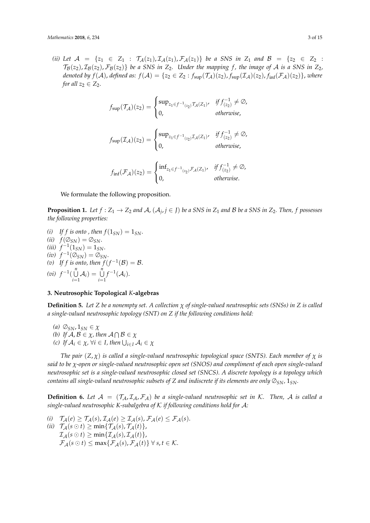*(ii)* Let  $A = \{z_1 \in Z_1 : T_A(z_1), T_A(z_1), T_A(z_1)\}$  be a SNS in  $Z_1$  and  $B = \{z_2 \in Z_2 : Z_1 \neq Z_1\}$  $\mathcal{T}_{\mathcal{B}}(z_2), \mathcal{I}_{\mathcal{B}}(z_2), \mathcal{F}_{\mathcal{B}}(z_2)$ } *be a SNS in*  $Z_2$ *. Under the mapping f, the image of A is a SNS in*  $Z_2$ *, denoted by*   $f(A)$  , *defined as:*  $f(A) = \{z_2 \in Z_2 : f_{\text{sup}}(\mathcal{T}_\mathcal{A})(z_2)$  ,  $f_{\text{sup}}(\mathcal{I}_\mathcal{A})(z_2)$  ,  $f_{\text{inf}}(\mathcal{F}_\mathcal{A})(z_2)\}$  , where *for all*  $z_2 \in Z_2$ .

$$
f_{\text{sup}}(\mathcal{T}_{\mathcal{A}})(z_2) = \begin{cases} \text{sup}_{z_1 \in f^{-1}(z_2)} \mathcal{T}_{\mathcal{A}}(z_1), & \text{if } f_{(z_2)}^{-1} \neq \emptyset, \\ 0, & \text{otherwise,} \end{cases}
$$

$$
f_{\text{sup}}(\mathcal{I}_{\mathcal{A}})(z_2) = \begin{cases} \text{sup}_{z_1 \in f^{-1}(z_2)} \mathcal{I}_{\mathcal{A}}(z_1) & \text{if } f_{(z_2)}^{-1} \neq \emptyset, \\ 0, & \text{otherwise,} \end{cases}
$$

$$
f_{\rm inf}(\mathcal{F}_{\mathcal{A}})(z_2) = \begin{cases} \inf_{z_1 \in f^{-1}(z_2)} \mathcal{F}_{\mathcal{A}}(z_1), & \text{if } f_{(z_2)}^{-1} \neq \emptyset, \\ 0, & \text{otherwise.} \end{cases}
$$

We formulate the following proposition.

**Proposition 1.** Let  $f:Z_1\to Z_2$  and  $\mathcal{A}$ ,  $(\mathcal{A}_j, j\in J)$  be a SNS in  $Z_1$  and  $\mathcal{B}$  be a SNS in  $Z_2$ . Then,  $f$  possesses *the following properties:*

- *(i)* If f is onto , then  $f(1_{SN}) = 1_{SN}$ .  $f(\emptyset_{SN}) = \emptyset_{SN}.$  $(iii)$   $f^{-1}(1_{SN}) = 1_{SN}.$  $(iv)$   $f^{-1}(\emptyset_{SN}) = \emptyset_{SN}.$ (*v*) If f is onto, then  $f(f^{-1}(\mathcal{B}) = \mathcal{B})$ .
- $(vi)$   $f^{-1}(\bigcup^{n}$  $\bigcup_{i=1}^n A_i$  =  $\bigcup_{i=1}^n$  $f^{-1}(\mathcal{A}_i).$

## **3. Neutrosophic Topological** *K***-algebras**

<span id="page-2-0"></span>**Definition 5.** *Let Z be a nonempty set. A collection χ of single-valued neutrosophic sets (SNSs) in Z is called a single-valued neutrosophic topology (SNT) on Z if the following conditions hold:*

*(a)*  $\oslash$ <sub>*SN*</sub>,  $1_{SN} \in \chi$ *(b)* If  $A, B \in \chi$ , then  $A \cap B \in \chi$  $f(c)$  *If*  $A_i \in \chi$ ,  $\forall i \in I$ , then  $\bigcup_{i \in I} A_i \in \chi$ 

*The pair* (*Z*, *χ*) *is called a single-valued neutrosophic topological space (SNTS). Each member of χ is said to be χ-open or single-valued neutrosophic open set (SNOS) and compliment of each open single-valued neutrosophic set is a single-valued neutrosophic closed set (SNCS). A discrete topology is a topology which contains all single-valued neutrosophic subsets of Z and indiscrete if its elements are only*  $\varnothing_{SN}$ *,*  $1_{SN}$ *.* 

**Definition 6.** Let  $A = (T_A, T_A, F_A)$  be a single-valued neutrosophic set in K. Then, A is called a *single-valued neutrosophic K-subalgebra of* K *if following conditions hold for* A*:*

(i) 
$$
\mathcal{T}_{\mathcal{A}}(e) \geq \mathcal{T}_{\mathcal{A}}(s), \mathcal{I}_{\mathcal{A}}(e) \geq \mathcal{I}_{\mathcal{A}}(s), \mathcal{F}_{\mathcal{A}}(e) \leq \mathcal{F}_{\mathcal{A}}(s).
$$
  
\n(ii) 
$$
\mathcal{T}_{\mathcal{A}}(s \odot t) \geq \min{\{\mathcal{T}_{\mathcal{A}}(s), \mathcal{T}_{\mathcal{A}}(t)\}},
$$
  
\n
$$
\mathcal{I}_{\mathcal{A}}(s \odot t) \geq \min{\{\mathcal{I}_{\mathcal{A}}(s), \mathcal{I}_{\mathcal{A}}(t)\}},
$$
  
\n
$$
\mathcal{F}_{\mathcal{A}}(s \odot t) \leq \max{\{\mathcal{F}_{\mathcal{A}}(s), \mathcal{F}_{\mathcal{A}}(t)\}} \forall s, t \in \mathcal{K}.
$$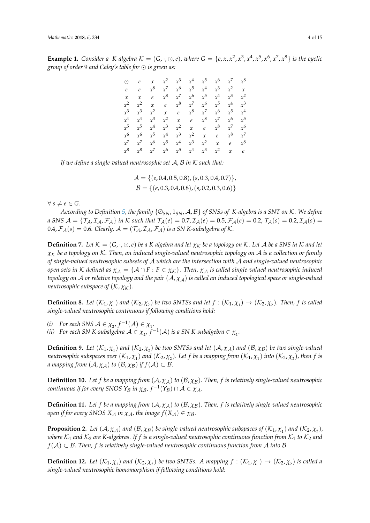<span id="page-3-0"></span>**Example 1.** Consider a K-algebra  $K = (G, \cdot, \odot, e)$ , where  $G = \{e, x, x^2, x^3, x^4, x^5, x^6, x^7, x^8\}$  is the cyclic *group of order* 9 *and Caley's table for is given as:*

| $\odot$       | $\begin{array}{ccc} e & x \end{array}$       |       | $x^2$   | $x^3$   | $x^4$ | $x^5$   | $x^6$         | $x^7$            | $x^8$          |
|---------------|----------------------------------------------|-------|---------|---------|-------|---------|---------------|------------------|----------------|
| $\ell$        | $\mid e$                                     | $x^8$ | $x^7$   | $x^6$   | $x^5$ | $x^4$   | $x^3$         | $\overline{x^2}$ | $\overline{x}$ |
| $\mathcal{X}$ | $\begin{array}{ccc} \n & x & e\n\end{array}$ |       | $x^8$   | $x^7$   | $x^6$ | $x^5$   | $x^4$         | $x^3$            | $x^2$          |
| $x^2$         | $x^2$                                        |       | $x$ $e$ | $x^8$   | $x^7$ | $x^6$   | $x^5$         | $x^4$            | $x^3$          |
| $x^3$         | $\int x^3$                                   | $x^2$ |         | $x$ e   | $x^8$ | $x^7$   | $x^6$         | $x^5$            | $x^4$          |
| $x^4$         | $\int x^4$                                   | $x^3$ | $x^2$   | $x$ $e$ |       | $x^8$   | $x^7$         | $x^6$            | $x^5$          |
| $x^5$         | $x^5$                                        | $x^4$ | $x^3$   | $x^2$   |       | $x$ $e$ | $x^8$         | $x^7$            | $x^6$          |
| $x^6$         | $x^6$                                        | $x^5$ | $x^4$   | $x^3$   | $x^2$ |         | $x$ $e$       | $x^8$            | $x^7$          |
|               | $x^7$ $x^7$                                  | $x^6$ | $x^5$   | $x^4$   | $x^3$ | $x^2$   | $\mathcal{X}$ | $\epsilon$       | $x^8$          |
| $x^8$         | $\mid x^8 \mid$                              | $x^7$ | $x^6$   | $x^5$   | $x^4$ | $x^3$   | $x^2$         | $\mathcal{X}$    | $\mathfrak{e}$ |

*If we define a single-valued neutrosophic set* A, B *in* K *such that:*

$$
\mathcal{A} = \{ (e, 0.4, 0.5, 0.8), (s, 0.3, 0.4, 0.7) \},\
$$

$$
\mathcal{B} = \{ (e, 0.3, 0.4, 0.8), (s, 0.2, 0.3, 0.6) \}
$$

 $\forall s \neq e \in G$ .

*According to Definition [5,](#page-2-0) the family* {∅*SN*, 1*SN*, A, B} *of SNSs of K-algebra is a SNT on* K*. We define a* SNS  $A = \{T_A, I_A, F_A\}$  *in* K *such that*  $T_A(e) = 0.7, I_A(e) = 0.5, F_A(e) = 0.2, T_A(s) = 0.2, I_A(s) = 0.3, I_A(s) = 0.4, I_A(s) = 0.5, I_A(s) = 0.5, I_A(s) = 0.6, I_A(s) = 0.7, I_A(s) = 0.7, I_A(s) = 0.7, I_A(s) = 0.7, I_A(s) = 0.7, I_A(s) = 0.7, I_A(s) = 0.7, I_A(s) = 0.7, I_A(s) =$ 0.4,  $\mathcal{F}_A(s) = 0.6$ *. Clearly,*  $\mathcal{A} = (\mathcal{T}_A, \mathcal{I}_A, \mathcal{F}_A)$  *is a SN K-subalgebra of K.* 

**Definition 7.** Let  $K = (G, \cdot, \odot, e)$  be a K-algebra and let  $\chi_K$  be a topology on K. Let A be a SNS in K and let *χ*<sup>K</sup> *be a topology on* K*. Then, an induced single-valued neutrosophic topology on* A *is a collection or family of single-valued neutrosophic subsets of* A *which are the intersection with* A *and single-valued neutrosophic open sets in* K *defined as*  $\chi_A = \{A \cap F : F \in \chi_K\}$ . Then,  $\chi_A$  *is called single-valued neutrosophic induced topology on* A *or relative topology and the pair* (A, *χ*A) *is called an induced topological space or single-valued neutrosophic subspace of*  $(K, \chi_K)$ *.* 

<span id="page-3-1"></span>**Definition 8.** Let  $(K_1, \chi_1)$  and  $(K_2, \chi_2)$  be two SNTSs and let  $f : (K_1, \chi_1) \to (K_2, \chi_2)$ . Then, f is called *single-valued neutrosophic continuous if following conditions hold:*

(*i*) For each SNS  $A \in \chi_2$ ,  $f^{-1}(A) \in \chi_1$ .

(*ii*) For each SN K-subalgebra  $A \in \chi_2$ ,  $f^{-1}(A)$  is a SN K-subalgebra  $\in \chi_1$ .

**Definition 9.** Let  $(K_1, \chi_1)$  and  $(K_2, \chi_2)$  be two SNTSs and let  $(A, \chi_A)$  and  $(B, \chi_B)$  be two single-valued *neutrosophic subspaces over*  $(\mathcal{K}_1,\chi_1)$  *and*  $(\mathcal{K}_2,\chi_2)$ *. Let*  $f$  *be a mapping from*  $(\mathcal{K}_1,\chi_1)$  *into*  $(\mathcal{K}_2,\chi_2)$ *, then*  $f$  *is a* mapping from  $(A, \chi_A)$  to  $(B, \chi_B)$  if  $f(A) \subset B$ .

**Definition 10.** Let f be a mapping from  $(A, \chi_A)$  to  $(B, \chi_B)$ . Then, f is relatively single-valued neutrosophic  $\alpha$  *continuous if for every SNOS*  $Y_{\mathcal{B}}$  *in*  $\chi_{\mathcal{B}}$ *,*  $f^{-1}(Y_{\mathcal{B}}) \cap \mathcal{A} \in \chi_{\mathcal{A}}$ *.* 

**Definition 11.** Let f be a mapping from  $(A, \chi_A)$  to  $(B, \chi_B)$ . Then, f is relatively single-valued neutrosophic *open if for every SNOS*  $X_A$  *in*  $\chi_A$ *, the image*  $f(X_A) \in \chi_B$ *.* 

**Proposition 2.** Let  $(A, \chi_A)$  and  $(B, \chi_B)$  be single-valued neutrosophic subspaces of  $(\mathcal{K}_1, \chi_1)$  and  $(\mathcal{K}_2, \chi_2)$ , *where*  $K_1$  *and*  $K_2$  *are K-algebras. If f is a single-valued neutrosophic continuous function from*  $K_1$  *to*  $K_2$  *and f*( $A$ ) ⊂ *B*. Then, *f* is relatively single-valued neutrosophic continuous function from  $A$  *into*  $B$ .

**Definition 12.** Let  $(K_1, \chi_1)$  and  $(K_2, \chi_2)$  be two SNTSs. A mapping  $f : (K_1, \chi_1) \to (K_2, \chi_2)$  is called a *single-valued neutrosophic homomorphism if following conditions hold:*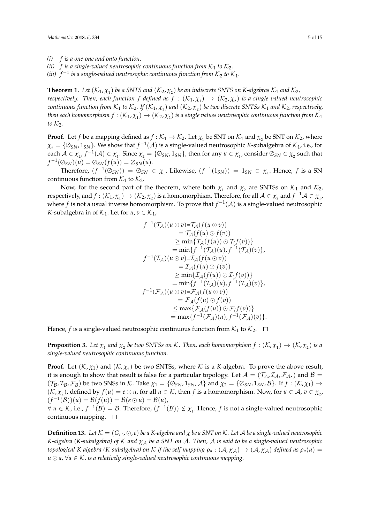*(i) f is a one-one and onto function.*

*(ii)*  $f$  *is a single-valued neutrosophic continuous function from*  $K_1$  *to*  $K_2$ *.* 

(*iii*)  $f^{-1}$  is a single-valued neutrosophic continuous function from  $\mathcal{K}_2$  to  $\mathcal{K}_1.$ 

**Theorem 1.** Let  $(\mathcal{K}_1, \chi_1)$  be a SNTS and  $(\mathcal{K}_2, \chi_2)$  be an indiscrete SNTS on K-algebras  $\mathcal{K}_1$  and  $\mathcal{K}_2$ , *respectively. Then, each function f defined as*  $f : (\mathcal{K}_1, \chi_1) \to (\mathcal{K}_2, \chi_2)$  *is a single-valued neutrosophic*  $c$ ontinuous function from  $\mathcal{K}_1$  to  $\mathcal{K}_2$ . If  $(\mathcal{K}_1,\chi_1)$  and  $(\mathcal{K}_2,\chi_2)$  be two discrete SNTSs  $\mathcal{K}_1$  and  $\mathcal{K}_2$ , respectively, then each homomorphism  $f:(\mathcal{K}_1,\chi_1)\to(\mathcal{K}_2,\chi_2)$  is a single values neutrosophic continuous function from  $\mathcal{K}_1$ *to*  $K_2$ *.* 

**Proof.** Let *f* be a mapping defined as  $f : \mathcal{K}_1 \to \mathcal{K}_2$ . Let  $\chi_1$  be SNT on  $\mathcal{K}_1$  and  $\chi_2$  be SNT on  $\mathcal{K}_2$ , where  $\chi_2 = \{ \mathcal{O}_{SN}, 1_{SN} \}$ . We show that  $f^{-1}(\mathcal{A})$  is a single-valued neutrosophic *K*-subalgebra of  $\mathcal{K}_1$ , i.e., for  $\text{each } A \in \chi_2$ ,  $f^{-1}(A) \in \chi_1$ . Since  $\chi_2 = \{ \emptyset_{SN}, 1_{SN} \}$ , then for any  $u \in \chi_1$ , consider  $\emptyset_{SN} \in \chi_2$  such that  $f^{-1}(\emptyset_{SN})(u) = \emptyset_{SN}(f(u)) = \emptyset_{SN}(u).$ 

Therefore,  $(f^{-1}(\mathcal{O}_{SN})) = \mathcal{O}_{SN} \in \chi_1$ . Likewise,  $(f^{-1}(1_{SN})) = 1_{SN} \in \chi_1$ . Hence, f is a SN continuous function from  $K_1$  to  $K_2$ .

Now, for the second part of the theorem, where both  $\chi_1$  and  $\chi_2$  are SNTSs on  $\mathcal{K}_1$  and  $\mathcal{K}_2$ ,  $\alpha$  respectively, and  $f: (\mathcal{K}_1, \chi_1) \to (\mathcal{K}_2, \chi_2)$  is a homomorphism. Therefore, for all  $\mathcal{A} \in \chi_2$  and  $f^{-1}\mathcal{A} \in \chi_1$ , where *f* is not a usual inverse homomorphism. To prove that  $f^{-1}(A)$  is a single-valued neutrosophic *K*-subalgebra in of  $K_1$ . Let for  $u, v \in K_1$ ,

$$
f^{-1}(\mathcal{T}_\mathcal{A})(u \odot v) = \mathcal{T}_\mathcal{A}(f(u \odot v))
$$
  
\n
$$
= \mathcal{T}_\mathcal{A}(f(u) \odot f(v))
$$
  
\n
$$
\geq \min\{\mathcal{T}_\mathcal{A}(f(u)) \odot \mathcal{T}_f(v))\}
$$
  
\n
$$
= \min\{f^{-1}(\mathcal{T}_\mathcal{A})(u), f^{-1}(\mathcal{T}_\mathcal{A})(v)\},
$$
  
\n
$$
f^{-1}(\mathcal{I}_\mathcal{A})(u \odot v) = \mathcal{I}_\mathcal{A}(f(u \odot v))
$$
  
\n
$$
= \mathcal{T}_\mathcal{A}(f(u)) \odot f(v))
$$
  
\n
$$
\geq \min\{\mathcal{I}_\mathcal{A}(f(u)) \odot \mathcal{I}_f(v))\}
$$
  
\n
$$
= \min\{f^{-1}(\mathcal{I}_\mathcal{A})(u), f^{-1}(\mathcal{I}_\mathcal{A})(v)\},
$$
  
\n
$$
f^{-1}(\mathcal{F}_\mathcal{A})(u \odot v) = \mathcal{F}_\mathcal{A}(f(u \odot v))
$$
  
\n
$$
= \mathcal{F}_\mathcal{A}(f(u)) \odot \mathcal{F}_f(v))\}
$$
  
\n
$$
\leq \max\{\mathcal{F}_\mathcal{A}(f(u)) \odot \mathcal{F}_f(v)\}
$$
  
\n
$$
= \max\{f^{-1}(\mathcal{F}_\mathcal{A})(u), f^{-1}(\mathcal{F}_\mathcal{A})(v)\}.
$$

Hence, *f* is a single-valued neutrosophic continuous function from  $K_1$  to  $K_2$ .  $\Box$ 

<span id="page-4-0"></span>**Proposition 3.** Let  $\chi_1$  and  $\chi_2$  be two SNTSs on K. Then, each homomorphism  $f: (\mathcal{K}, \chi_1) \to (\mathcal{K}, \chi_2)$  is a *single-valued neutrosophic continuous function.*

**Proof.** Let  $(K, \chi_1)$  and  $(K, \chi_2)$  be two SNTSs, where K is a K-algebra. To prove the above result, it is enough to show that result is false for a particular topology. Let  $A = (\mathcal{T}_A, \mathcal{I}_A, \mathcal{F}_A)$  and  $B =$  $(\mathcal{T}_{\mathcal{B}}, \mathcal{I}_{\mathcal{B}}, \mathcal{F}_{\mathcal{B}})$  be two SNSs in K. Take  $\chi_1 = \{\emptyset_{SN}, 1_{SN}, \mathcal{A}\}$  and  $\chi_2 = \{\emptyset_{SN}, 1_{SN}, \mathcal{B}\}$ . If  $f : (\mathcal{K}, \chi_1) \to \chi_2$  $(K, \chi_2)$ , defined by  $f(u) = e \odot u$ , for all  $u \in K$ , then  $f$  is a homomorphism. Now, for  $u \in A$ ,  $v \in \chi_2$ ,  $(f^{-1}(\mathcal{B}))(u) = \mathcal{B}(f(u)) = \mathcal{B}(e \odot u) = \mathcal{B}(u),$ 

 $\forall u \in \mathcal{K}$ , i.e.,  $f^{-1}(\mathcal{B}) = \mathcal{B}$ . Therefore,  $(f^{-1}(\mathcal{B})) \notin \chi_1$ . Hence,  $f$  is not a single-valued neutrosophic continuous mapping.

**Definition 13.** Let  $K = (G, \cdot, \odot, e)$  be a K-algebra and  $\chi$  be a SNT on K. Let A be a single-valued neutrosophic *K*-algebra (*K*-subalgebra) of *K* and  $χ_A$  *be a SNT on A*. *Then, A is said to be a single-valued neutrosophic topological K-algebra* (*K-subalgebra*) on *K if the self mapping*  $\rho_a : (\mathcal{A}, \chi_{\mathcal{A}}) \to (\mathcal{A}, \chi_{\mathcal{A}})$  *defined as*  $\rho_a(u)$  $u \odot a$ ,  $\forall a \in \mathcal{K}$ , *is a relatively single-valued neutrosophic continuous mapping.*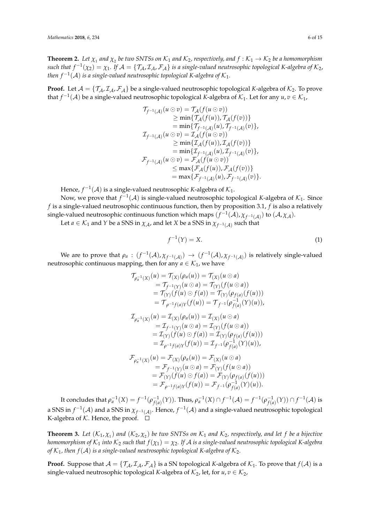**Theorem 2.** Let  $\chi_1$  and  $\chi_2$  be two SNTSs on  $\mathcal{K}_1$  and  $\mathcal{K}_2$ , respectively, and  $f:\mathcal{K}_1\to\mathcal{K}_2$  be a homomorphism  $such$  that  $f^{-1}(\chi_2)=\chi_1$ . If  $\mathcal{A}=\{\mathcal{T}_\mathcal{A},\mathcal{I}_\mathcal{A},\mathcal{F}_\mathcal{A}\}$  is a single-valued neutrosophic topological K-algebra of  $\mathcal{K}_2$ , then  $f^{-1}({\mathcal A})$  is a single-valued neutrosophic topological K-algebra of  $\mathcal{K}_1.$ 

**Proof.** Let  $A = \{T_A, T_A, F_A\}$  be a single-valued neutrosophic topological *K*-algebra of  $K_2$ . To prove that  $f^{-1}(\mathcal{A})$  be a single-valued neutrosophic topological *K*-algebra of  $\mathcal{K}_1$ . Let for any  $u, v \in \mathcal{K}_1$ ,

$$
\begin{aligned}\n\mathcal{T}_{f^{-1}(A)}(u \odot v) &= \mathcal{T}_{A}(f(u \odot v)) \\
&\geq \min\{\mathcal{T}_{A}(f(u)), \mathcal{T}_{A}(f(v))\} \\
&= \min\{\mathcal{T}_{f^{-1}(A)}(u), \mathcal{T}_{f^{-1}(A)}(v)\}, \\
\mathcal{I}_{f^{-1}(A)}(u \odot v) &= \mathcal{I}_{A}(f(u \odot v)) \\
&\geq \min\{\mathcal{I}_{A}(f(u)), \mathcal{I}_{A}(f(v))\} \\
&= \min\{\mathcal{I}_{f^{-1}(A)}(u), \mathcal{I}_{f^{-1}(A)}(v)\}, \\
\mathcal{F}_{f^{-1}(A)}(u \odot v) &= \mathcal{F}_{A}(f(u \odot v)) \\
&\leq \max\{\mathcal{F}_{A}(f(u)), \mathcal{F}_{A}(f(v))\} \\
&= \max\{\mathcal{F}_{f^{-1}(A)}(u), \mathcal{F}_{f^{-1}(A)}(v)\}.\n\end{aligned}
$$

Hence,  $f^{-1}({\mathcal A})$  is a single-valued neutrosophic *K*-algebra of  ${\mathcal K}_1$ .

Now, we prove that  $f^{-1}(\mathcal{A})$  is single-valued neutrosophic topological *K*-algebra of  $\mathcal{K}_1$ . Since *f* is a single-valued neutrosophic continuous function, then by proposition 3.1, *f* is also a relatively single-valued neutrosophic continuous function which maps  $(f^{-1}(A), \chi_{f^{-1}(A)})$  to  $(A, \chi_A)$ .

Let  $a \in \mathcal{K}_1$  and *Y* be a SNS in  $\chi_{\mathcal{A}}$ , and let *X* be a SNS in  $\chi_{f^{-1}(\mathcal{A})}$  such that

$$
f^{-1}(Y) = X.\tag{1}
$$

We are to prove that  $\rho_a$  :  $(f^{-1}(\mathcal{A}), \chi_{f^{-1}(\mathcal{A})}) \to (f^{-1}(\mathcal{A}), \chi_{f^{-1}(\mathcal{A})})$  is relatively single-valued neutrosophic continuous mapping, then for any  $a \in \mathcal{K}_1$ , we have

$$
\begin{aligned}\n\mathcal{T}_{\rho_a^{-1}(X)}(u) &= \mathcal{T}_{(X)}(\rho_a(u)) = \mathcal{T}_{(X)}(u \odot a) \\
&= \mathcal{T}_{f^{-1}(Y)}(u \odot a) = \mathcal{T}_{(Y)}(f(u \odot a)) \\
&= \mathcal{T}_{(Y)}(f(u) \odot f(a)) = \mathcal{T}_{(Y)}(\rho_{f(a)}(f(u))) \\
&= \mathcal{T}_{\rho^{-1}f(a)Y}(f(u)) = \mathcal{T}_{f^{-1}}(\rho_{f(a)}^{-1}(Y)(u)), \\
\mathcal{T}_{\rho_a^{-1}(X)}(u) &= \mathcal{I}_{(X)}(\rho_a(u)) = \mathcal{I}_{(X)}(u \odot a) \\
&= \mathcal{I}_{f^{-1}(Y)}(u \odot a) = \mathcal{I}_{(Y)}(f(u \odot a)) \\
&= \mathcal{I}_{(Y)}(f(u) \odot f(a)) = \mathcal{I}_{(Y)}(\rho_{f(a)}(f(u))) \\
&= \mathcal{I}_{\rho^{-1}f(a)Y}(f(u)) = \mathcal{I}_{f^{-1}}(\rho_{f(a)}^{-1}(Y)(u)), \\
\mathcal{F}_{\rho_a^{-1}(X)}(u) &= \mathcal{F}_{(X)}(\rho_a(u)) = \mathcal{F}_{(X)}(u \odot a) \\
&= \mathcal{F}_{f^{-1}(Y)}(u \odot a) = \mathcal{F}_{(Y)}(f(u \odot a)) \\
&= \mathcal{F}_{(Y)}(f(u) \odot f(a)) = \mathcal{F}_{(Y)}(\rho_{f(a)}(f(u))) \\
&= \mathcal{F}_{\rho^{-1}f(a)Y}(f(u)) = \mathcal{F}_{f^{-1}}(\rho_{f(a)}^{-1}(Y)(u)).\n\end{aligned}
$$

It concludes that  $\rho_a^{-1}(X) = f^{-1}(\rho_{f(a)})$  $f_{f(a)}^{-1}(Y)$ ). Thus,  $\rho_a^{-1}(X) \cap f^{-1}(\mathcal{A}) = f^{-1}(\rho_{f(a)}^{-1})$  $\frac{-1}{f(a)}(Y))\cap f^{-1}(\mathcal{A})$  is a SNS in  $f^{-1}(A)$  and a SNS in  $\chi_{f^{-1}(A)}$ . Hence,  $f^{-1}(A)$  and a single-valued neutrosophic topological K-algebra of  $K$ . Hence, the proof.  $\square$ 

**Theorem 3.** Let  $(\mathcal{K}_1, \chi_1)$  and  $(\mathcal{K}_2, \chi_2)$  be two SNTSs on  $\mathcal{K}_1$  and  $\mathcal{K}_2$ , respectively, and let f be a bijective *homomorphism of*  $K_1$  *into*  $K_2$  *such that*  $f(\chi_1) = \chi_2$ . If A *is a single-valued neutrosophic topological* K-algebra *of*  $K_1$ , then  $f(A)$  *is a single-valued neutrosophic topological K-algebra of*  $K_2$ .

**Proof.** Suppose that  $A = \{T_A, T_A, F_A\}$  is a SN topological *K*-algebra of  $K_1$ . To prove that  $f(A)$  is a single-valued neutrosophic topological *K*-algebra of  $K_2$ , let, for  $u, v \in K_2$ ,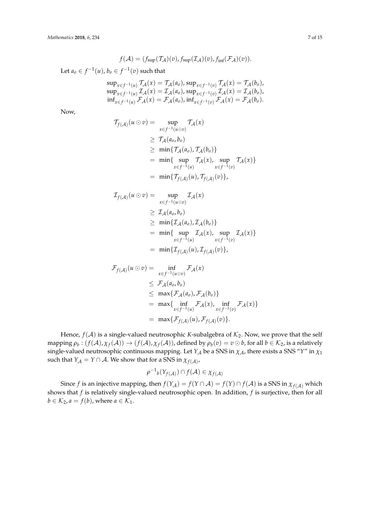$$
f(\mathcal{A}) = (f_{\text{sup}}(\mathcal{T}_{\mathcal{A}})(v), f_{\text{sup}}(\mathcal{I}_{\mathcal{A}})(v), f_{\text{inf}}(\mathcal{F}_{\mathcal{A}})(v)).
$$

Let  $a_0 \in f^{-1}(u)$ ,  $b_0 \in f^{-1}(v)$  such that

$$
\sup_{x \in f^{-1}(u)} \mathcal{T}_{\mathcal{A}}(x) = \mathcal{T}_{\mathcal{A}}(a_{o}), \sup_{x \in f^{-1}(v)} \mathcal{T}_{\mathcal{A}}(x) = \mathcal{T}_{\mathcal{A}}(b_{o}), \n\sup_{x \in f^{-1}(u)} \mathcal{I}_{\mathcal{A}}(x) = \mathcal{I}_{\mathcal{A}}(a_{o}), \sup_{x \in f^{-1}(v)} \mathcal{I}_{\mathcal{A}}(x) = \mathcal{I}_{\mathcal{A}}(b_{o}), \n\inf_{x \in f^{-1}(u)} \mathcal{F}_{\mathcal{A}}(x) = \mathcal{F}_{\mathcal{A}}(a_{o}), \inf_{x \in f^{-1}(v)} \mathcal{F}_{\mathcal{A}}(x) = \mathcal{F}_{\mathcal{A}}(b_{o}).
$$

Now,

$$
T_{f(\mathcal{A})}(u \odot v) = \sup_{x \in f^{-1}(u \odot v)} \mathcal{T}_{\mathcal{A}}(x)
$$
  
\n
$$
\geq \mathcal{T}_{\mathcal{A}}(a_o, b_o)
$$
  
\n
$$
\geq \min \{ \mathcal{T}_{\mathcal{A}}(a_o), \mathcal{T}_{\mathcal{A}}(b_o) \}
$$
  
\n
$$
= \min \{ \sup_{x \in f^{-1}(u)} \mathcal{T}_{\mathcal{A}}(x), \sup_{x \in f^{-1}(v)} \mathcal{T}_{\mathcal{A}}(x) \}
$$
  
\n
$$
= \min \{ \mathcal{T}_{f(\mathcal{A})}(u), \mathcal{T}_{f(\mathcal{A})}(v) \},
$$

$$
\mathcal{I}_{f(\mathcal{A})}(u \odot v) = \sup_{x \in f^{-1}(u \odot v)} \mathcal{I}_{\mathcal{A}}(x)
$$
\n
$$
\geq \mathcal{I}_{\mathcal{A}}(a_{o}, b_{o})
$$
\n
$$
\geq \min \{ \mathcal{I}_{\mathcal{A}}(a_{o}), \mathcal{I}_{\mathcal{A}}(b_{o}) \}
$$
\n
$$
= \min \{ \sup_{x \in f^{-1}(u)} \mathcal{I}_{\mathcal{A}}(x), \sup_{x \in f^{-1}(v)} \mathcal{I}_{\mathcal{A}}(x) \}
$$
\n
$$
= \min \{ \mathcal{I}_{f(\mathcal{A})}(u), \mathcal{I}_{f(\mathcal{A})}(v) \},
$$

$$
\mathcal{F}_{f(\mathcal{A})}(u \odot v) = \inf_{x \in f^{-1}(u \odot v)} \mathcal{F}_{\mathcal{A}}(x)
$$
\n
$$
\leq \mathcal{F}_{\mathcal{A}}(a_o, b_o)
$$
\n
$$
\leq \max \{ \mathcal{F}_{\mathcal{A}}(a_o), \mathcal{F}_{\mathcal{A}}(b_o) \}
$$
\n
$$
= \max \{ \inf_{x \in f^{-1}(u)} \mathcal{F}_{\mathcal{A}}(x), \inf_{x \in f^{-1}(v)} \mathcal{F}_{\mathcal{A}}(x) \}
$$
\n
$$
= \max \{ \mathcal{F}_{f(\mathcal{A})}(u), \mathcal{F}_{f(\mathcal{A})}(v) \}.
$$

Hence,  $f(A)$  is a single-valued neutrosophic *K*-subalgebra of  $K_2$ . Now, we prove that the self  $\text{mapping } \rho_b: (f(\mathcal{A}), \chi_f(\mathcal{A})) \to (f(\mathcal{A}), \chi_f(\mathcal{A}))$ , defined by  $\rho_b(v) = v \odot b$ , for all  $b \in \mathcal{K}_2$ , is a relatively single-valued neutrosophic continuous mapping. Let  $Y_A$  be a SNS in  $\chi_A$ , there exists a SNS "*Y*" in  $\chi_1$ such that  $Y_{\mathcal{A}} = Y \cap \mathcal{A}$ . We show that for a SNS in  $\chi_{f(\mathcal{A})}$ ,

$$
\rho^{-1}{}_{b}(\Upsilon_{f(\mathcal{A})})\cap f(\mathcal{A})\in \chi_{f(\mathcal{A})}
$$

Since *f* is an injective mapping, then  $f(Y_A) = f(Y \cap A) = f(Y) \cap f(A)$  is a SNS in  $\chi_{f(A)}$  which shows that *f* is relatively single-valued neutrosophic open. In addition, *f* is surjective, then for all  $b \in \mathcal{K}_2$ ,  $a = f(b)$ , where  $a \in \mathcal{K}_1$ .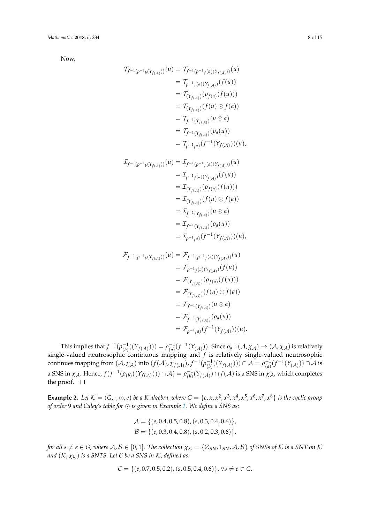Now,

$$
\begin{aligned}\n\mathcal{T}_{f^{-1}(\rho^{-1}b(Y_{f(A)}))}(u) &= \mathcal{T}_{f^{-1}(\rho^{-1}f(a)(Y_{f(A)}))}(u) \\
&= \mathcal{T}_{\rho^{-1}f(a)(Y_{f(A)})}(f(u)) \\
&= \mathcal{T}_{(Y_{f(A)})}(\rho_{f(a)}(f(u))) \\
&= \mathcal{T}_{(Y_{f(A)})}(f(u) \odot f(a)) \\
&= \mathcal{T}_{f^{-1}(Y_{f(A)})}(u \odot a) \\
&= \mathcal{T}_{f^{-1}(Y_{f(A)})}(\rho_a(u)) \\
&= \mathcal{T}_{\rho^{-1}(a)}(f^{-1}(Y_{f(A)}))(u), \\
\mathcal{T}_{f^{-1}(\rho^{-1}b(Y_{f(A)}))}(u) &= \mathcal{I}_{f^{-1}(\rho^{-1}f(a)(Y_{f(A)}))}(u) \\
&= \mathcal{I}_{\rho^{-1}f(a)(Y_{f(A)})}(f(u)) \\
&= \mathcal{I}_{(Y_{f(A)})}(\rho_{f(a)}(f(u))) \\
&= \mathcal{I}_{(Y_{f(A)})}(f(u) \odot f(a)) \\
&= \mathcal{I}_{f^{-1}(Y_{f(A)})}(u \odot a) \\
&= \mathcal{I}_{f^{-1}(Y_{f(A)})}(\rho_a(u)) \\
&= \mathcal{I}_{f^{-1}(Y_{f(A)})}(\rho_a(u)) \\
&= \mathcal{I}_{f^{-1}(a)}(f^{-1}(Y_{f(A)}))(u), \\
\mathcal{F}_{f^{-1}(\rho^{-1}b(Y_{f(A)}))}(u) &= \mathcal{F}_{\rho^{-1}f(a)(Y_{f(A)})}(f(u)) \\
&= \mathcal{F}_{(Y_{f(A)})}(f(u)) \\
&= \mathcal{F}_{(Y_{f(A)})}(f(u) \odot f(a))\n\end{aligned}
$$

This implies that  $f^{-1}(\rho_{(h)}^{-1})$  $\binom{-1}{b}((Y_{f(A)})) = \rho_{(a)}^{-1}$  $\frac{1}{(a)}(f^{-1}(Y_{(\mathcal{A})})).$  Since  $\rho_{a}:(\mathcal{A},\chi_{\mathcal{A}})\rightarrow (\mathcal{A},\chi_{\mathcal{A}})$  is relatively single-valued neutrosophic continuous mapping and *f* is relatively single-valued neutrosophic continues mapping from  $(A, \chi_A)$  into  $(f(A), \chi_{f(A)})$ ,  $f^{-1}(\rho_{(b)}^{-1})$  $\binom{-1}{(b)}((Y_{f(\mathcal{A})}))) \cap \mathcal{A} = \rho_{(a)}^{-1}$ (*a*) (*f* −1 (*Y*(A) )) ∩ A is a SNS in  $\chi_{\mathcal{A}}$ . Hence,  $f(f^{-1}(\rho_{(b)}((Y_{f(\mathcal{A})}))) \cap \mathcal{A}) = \rho_{(b)}^{-1}$  $\int_{(b)}^{-1}(Y_{f(\mathcal{A})})\cap f(\mathcal{A})$  is a SNS in  $\chi_{\mathcal{A}}$ , which completes the proof.  $\square$ 

 $=\mathcal{F}_{f^{-1}(Y_{f(\mathcal{A})})}(u\odot a)$ 

 $=$   $\mathcal{F}_{f^{-1}(Y_{f(\mathcal{A})})}(\rho_a(u))$ 

 $= \mathcal{F}_{\rho^{-1}(a)}(f^{-1}(Y_{f(\mathcal{A})}))(u).$ 

**Example 2.** Let  $K = (G, \cdot, \odot, e)$  be a K-algebra, where  $G = \{e, x, x^2, x^3, x^4, x^5, x^6, x^7, x^8\}$  is the cyclic group *of order* 9 *and Caley's table for is given in Example [1.](#page-3-0) We define a SNS as:*

$$
\mathcal{A} = \{ (e, 0.4, 0.5, 0.8), (s, 0.3, 0.4, 0.6) \},\
$$

$$
\mathcal{B} = \{ (e, 0.3, 0.4, 0.8), (s, 0.2, 0.3, 0.6) \},\
$$

*for all*  $s \neq e \in G$ , *where*  $A, B \in [0, 1]$ *. The collection*  $\chi_K = \{ \mathcal{O}_{SN}, 1_{SN}, A, B \}$  *of SNSs of* K *is a SNT on* K *and*  $(K, \chi_K)$  *is a SNTS. Let C be a SNS in K, defined as:* 

$$
C = \{ (e, 0.7, 0.5, 0.2), (s, 0.5, 0.4, 0.6) \}, \forall s \neq e \in G.
$$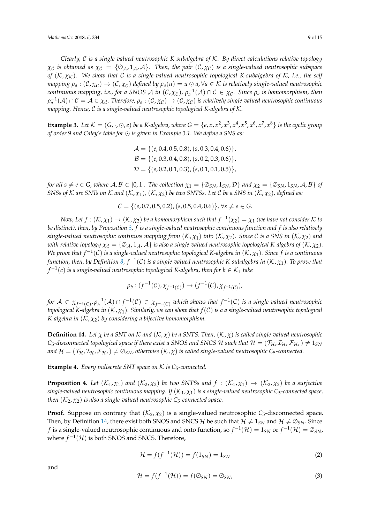*Clearly,* C *is a single-valued neutrosophic K-subalgebra of* K*. By direct calculations relative topology*  $\chi_c$  *is obtained as*  $\chi_c = {\emptyset_A, 1_A, A}$ *. Then, the pair*  $(C, \chi_c)$  *is a single-valued neutrosophic subspace of* (K,  $χ$ <sub>K</sub>). We show that C is a single-valued neutrosophic topological K-subalgebra of K, i.e., the self *mapping*  $\rho_a: (\mathcal{C}, \chi_{\mathcal{C}}) \to (\mathcal{C}, \chi_{\mathcal{C}})$  defined by  $\rho_a(u) = u \odot a$ ,  $\forall a \in \mathcal{K}$  is relatively single-valued neutrosophic *continuous mapping, i.e., for a SNOS A in*  $(C, \chi_C)$ *,*  $\rho_a^{-1}(\mathcal{A}) \cap C \in \chi_C$ *. Since*  $\rho_a$  *is homomorphism, then*  $\rho_a^{-1}(\mathcal{A})\cap\mathcal{C}=\mathcal{A}\in\chi_\mathcal{C}.$  Therefore,  $\rho_a:(\mathcal{C},\chi_\mathcal{C})\to(\mathcal{C},\chi_\mathcal{C})$  is relatively single-valued neutrosophic continuous *mapping. Hence,* C *is a single-valued neutrosophic topological K-algebra of* K*.*

**Example 3.** Let  $K = (G, \cdot, \odot, e)$  be a K-algebra, where  $G = \{e, x, x^2, x^3, x^4, x^5, x^6, x^7, x^8\}$  is the cyclic group *of order* 9 *and Caley's table for is given in Example 3.1. We define a SNS as:*

> $\mathcal{A} = \{ (e, 0.4, 0.5, 0.8), (s, 0.3, 0.4, 0.6) \},\$  $\mathcal{B} = \{(e, 0.3, 0.4, 0.8), (s, 0.2, 0.3, 0.6)\},\$  $\mathcal{D} = \{ (e, 0.2, 0.1, 0.3), (s, 0.1, 0.1, 0.5) \},\$

*for all*  $s \neq e \in G$ , *where*  $A, B \in [0, 1]$ *. The collection*  $\chi_1 = \{ \emptyset_{SN}, 1_{SN}, \mathcal{D} \}$  *and*  $\chi_2 = \{ \emptyset_{SN}, 1_{SN}, A, B \}$  *of SNSs of*  $K$  *are SNTs on*  $K$  *and*  $(K, \chi_1)$ ,  $(K, \chi_2)$  *be two SNTSs. Let*  $C$  *be a SNS in*  $(K, \chi_2)$ , *defined as:* 

 $C = \{(e, 0.7, 0.5, 0.2), (s, 0.5, 0.4, 0.6)\}\,$ ,  $\forall s \neq e \in G$ .

*Now, Let*  $f: (\mathcal{K}, \chi_1) \to (\mathcal{K}, \chi_2)$  be a homomorphism such that  $f^{-1}(\chi_2) = \chi_1$  (we have not consider  $\mathcal K$  to *be distinct), then, by Proposition [3,](#page-4-0) f is a single-valued neutrosophic continuous function and f is also relatively single-valued neutrosophic continues mapping from*  $(K, \chi_1)$  *into*  $(K, \chi_2)$ *. Since* C *is a SNS in*  $(K, \chi_2)$  *and with relative topology*  $\chi_c = \{\emptyset_A, 1_A, A\}$  *is also a single-valued neutrosophic topological K-algebra of*  $(K, \chi_2)$ *. We prove that f* −1 (C) *is a single-valued neutrosophic topological K-algebra in* (K, *χ*1)*. Since f is a continuous* function, then, by Definition [8,](#page-3-1) f $^{-1}(\mathcal{C})$  is a single-valued neutrosophic K-subalgebra in  $(\mathcal{K},\chi_1)$ . To prove that  $f^{-1}(c)$  *is a single-valued neutrosophic topological K-algebra, then for*  $b \in \mathcal{K}_1$  *take* 

$$
\rho_b: (f^{-1}(\mathcal{C}), \chi_{f^{-1}(\mathcal{C})}) \to (f^{-1}(\mathcal{C}), \chi_{f^{-1}(\mathcal{C})}),
$$

 $f$  *or*  $A \in \chi_{f^{-1}(C)}$ ,  $\rho_b^{-1}(A) \cap f^{-1}(\mathcal{C}) \in \chi_{f^{-1}(C)}$  which shows that  $f^{-1}(C)$  is a single-valued neutrosophic *topological K-algebra in* (K, *χ*1)*. Similarly, we can show that f*(C) *is a a single-valued neutrosophic topological K-algebra in* (K, *χ*2) *by considering a bijective homomorphism.*

<span id="page-8-0"></span>**Definition 14.** Let  $\chi$  be a SNT on K and  $(K, \chi)$  be a SNTS. Then,  $(K, \chi)$  is called single-valued neutrosophic  $C_5$ -disconnected topological space if there exist a SNOS and SNCS H such that  $\mathcal{H} = (\mathcal{T}_H, \mathcal{I}_H, \mathcal{F}_{H_L}) \neq 1_{SN}$ *and*  $\mathcal{H} = (\mathcal{T}_{\mathcal{H}}, \mathcal{I}_{\mathcal{H}}, \mathcal{F}_{\mathcal{H}}) \neq \emptyset_{SN}$ , otherwise  $(\mathcal{K}, \chi)$  is called single-valued neutrosophic C<sub>5</sub>-connected.

**Example 4.** *Every indiscrete SNT space on*  $K$  *is C<sub>5</sub>-connected.* 

**Proposition 4.** Let  $(K_1, \chi_1)$  and  $(K_2, \chi_2)$  be two SNTSs and  $f : (K_1, \chi_1) \to (K_2, \chi_2)$  be a surjective *single-valued neutrosophic continuous mapping. If* (K1, *χ*1) *is a single-valued neutrosophic C*5*-connected space, then*  $(K_2, \chi_2)$  *is also a single-valued neutrosophic*  $C_5$ -connected space.

**Proof.** Suppose on contrary that  $(K_2, \chi_2)$  is a single-valued neutrosophic  $C_5$ -disconnected space. Then, by Definition [14,](#page-8-0) there exist both SNOS and SNCS H be such that  $\mathcal{H} \neq 1_{SN}$  and  $\mathcal{H} \neq \emptyset_{SN}$ . Since *f* is a single-valued neutrosophic continuous and onto function, so  $f^{-1}(\mathcal{H})=1_{SN}$  or  $f^{-1}(\mathcal{H})=\varnothing_{SN}$ , where  $f^{-1}(\mathcal{H})$  is both SNOS and SNCS. Therefore,

$$
\mathcal{H} = f(f^{-1}(\mathcal{H})) = f(1_{SN}) = 1_{SN}
$$
 (2)

and

$$
\mathcal{H} = f(f^{-1}(\mathcal{H})) = f(\mathcal{O}_{SN}) = \mathcal{O}_{SN},\tag{3}
$$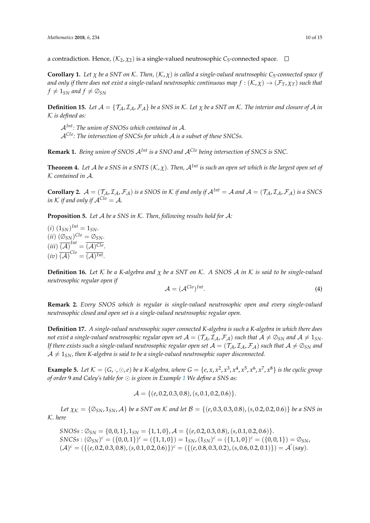a contradiction. Hence,  $(\mathcal{K}_2, \chi_2)$  is a single-valued neutrosophic  $C_5$ -connected space.  $\Box$ 

**Corollary 1.** Let  $\chi$  be a SNT on K. Then,  $(K, \chi)$  is called a single-valued neutrosophic C<sub>5</sub>-connected space if *and only if there does not exist a single-valued neutrosophic continuous map*  $f:(K,\chi) \to (\mathcal{F}_T,\chi_T)$  *such that*  $f \neq 1_{SN}$  and  $f \neq \emptyset_{SN}$ 

**Definition 15.** Let  $A = \{T_A, I_A, F_A\}$  be a SNS in K. Let  $\chi$  be a SNT on K. The interior and closure of A in K *is defined as:*

A*Int: The union of SNOSs which contained in* A. A*Clo: The intersection of SNCSs for which* A *is a subset of these SNCSs.*

**Remark 1.** *Being union of SNOS* A*Int is a SNO and* A*Clo being intersection of SNCS is SNC.*

**Theorem 4.** Let A be a SNS in a SNTS  $(K, \chi)$ . Then,  $\mathcal{A}^{Int}$  is such an open set which is the largest open set of K *contained in* A*.*

**Corollary 2.**  $A = (T_A, T_A, F_A)$  *is a SNOS in K if and only if*  $A^{Int} = A$  *and*  $A = (T_A, T_A, F_A)$  *is a SNCS in*  $K$  *if and only if*  $A^{Cl_0} = A$ *.* 

**Proposition 5.** *Let* A *be a SNS in* K*. Then, following results hold for* A*:*

 $(i)$   $(1_{SN})^{Int} = 1_{SN}.$  $(ii)$   $(\emptyset_{SN})^{Clo} = \emptyset_{SN}.$  $(iii) \overline{(\mathcal{A})}^{Int} = \overline{(\mathcal{A})^{Clo}}.$  $(iv) \overline{(\mathcal{A})}^{Clo} = \overline{(\mathcal{A})^{Int}}.$ 

**Definition 16.** *Let* K *be a K-algebra and χ be a SNT on* K*. A SNOS* A *in* K *is said to be single-valued neutrosophic regular open if*

$$
\mathcal{A} = (\mathcal{A}^{Clo})^{Int}.
$$
 (4)

**Remark 2.** *Every SNOS which is regular is single-valued neutrosophic open and every single-valued neutrosophic closed and open set is a single-valued neutrosophic regular open.*

<span id="page-9-0"></span>**Definition 17.** *A single-valued neutrosophic super connected K-algebra is such a K-algebra in which there does not exist a single-valued neutrosophic regular open set*  $A = (T_A, T_A, F_A)$  *such that*  $A \neq \emptyset_{SN}$  *and*  $A \neq 1_{SN}$ *. If there exists such a single-valued neutrosophic regular open set*  $A = (\mathcal{T}_A, \mathcal{I}_A, \mathcal{F}_A)$  *such that*  $A \neq \emptyset_{SN}$  *and*  $A \neq 1_{SN}$ , then K-algebra is said to be a single-valued neutrosophic super disconnected.

**Example 5.** Let  $K = (G, \cdot, \odot, e)$  be a K-algebra, where  $G = \{e, x, x^2, x^3, x^4, x^5, x^6, x^7, x^8\}$  is the cyclic group *of order* 9 *and Caley's table for is given in Example [1](#page-3-0) We define a SNS as:*

$$
\mathcal{A} = \{ (e, 0.2, 0.3, 0.8), (s, 0.1, 0.2, 0.6) \}.
$$

*Let*  $\chi_K = {\mathcal{O}}_{SN}$ , 1<sub>SN</sub>, A} *be a SNT on* K *and let*  $\mathcal{B} = \{ (e, 0.3, 0.3, 0.8), (s, 0.2, 0.2, 0.6) \}$  *be a SNS in* K*. here*

$$
SNOSs: \emptyset_{SN} = \{0,0,1\}, 1_{SN} = \{1,1,0\}, \mathcal{A} = \{(e, 0.2, 0.3, 0.8), (s, 0.1, 0.2, 0.6)\}.
$$
  
\n
$$
SNCSs: (\emptyset_{SN})^c = (\{0,0,1\})^c = (\{1,1,0\}) = 1_{SN}, (1_{SN})^c = (\{1,1,0\})^c = (\{0,0,1\}) = \emptyset_{SN},
$$
  
\n
$$
(\mathcal{A})^c = (\{(e, 0.2, 0.3, 0.8), (s, 0.1, 0.2, 0.6)\})^c = (\{(e, 0.8, 0.3, 0.2), (s, 0.6, 0.2, 0.1)\}) = \mathcal{A}'(say).
$$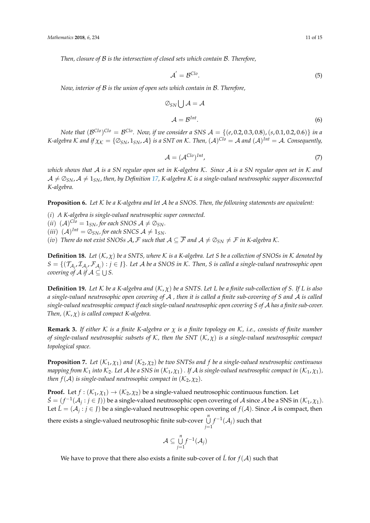*Then, closure of* B *is the intersection of closed sets which contain* B*. Therefore,*

$$
\mathcal{A}^{'} = \mathcal{B}^{Clo}.\tag{5}
$$

*Now, interior of* B *is the union of open sets which contain in* B*. Therefore,*

$$
\oslash_{SN} \bigcup \mathcal{A} = \mathcal{A}
$$
  

$$
\mathcal{A} = \mathcal{B}^{Int}.
$$
 (6)

 $\Delta$  *Note that*  $(\mathcal{B}^{Clo})^{Clo} = \mathcal{B}^{Clo}$ . Now, if we consider a SNS  $\mathcal{A} = \{(e, 0.2, 0.3, 0.8), (s, 0.1, 0.2, 0.6)\}$  in a *K*-algebra  $K$  and if  $\chi_K = \{ \varnothing_{SN}, 1_{SN}, \mathcal{A} \}$  is a SNT on  $K$ . Then,  $(\mathcal{A})^{Clo} = \mathcal{A}$  and  $(\mathcal{A})^{Int} = \mathcal{A}$ . Consequently,

$$
\mathcal{A} = (\mathcal{A}^{Clo})^{Int},\tag{7}
$$

*which shows that* A *is a SN regular open set in K-algebra* K*. Since* A *is a SN regular open set in* K *and*  $A \neq \emptyset_{SN}$ ,  $A \neq 1_{SN}$ , then, by Definition [17,](#page-9-0) K-algebra K is a single-valued neutrosophic supper disconnected *K-algebra.*

**Proposition 6.** *Let* K *be a K-algebra and let* A *be a SNOS. Then, the following statements are equivalent:*

- (*i*) *A K-algebra is single-valued neutrosophic super connected.*
- $(iii)$   $({\cal A})^{Clo} = 1_{SN}$ , for each SNOS  ${\cal A} \neq \emptyset_{SN}$ .
- (*iii*)  $({\mathcal{A}})^{Int} = \emptyset_{SN}$ , for each SNCS  ${\mathcal{A}} \neq 1_{SN}$ *.*
- (*iv*) *There do not exist SNOSs A, F such that*  $A \subseteq \overline{\mathcal{F}}$  *and*  $A \neq \emptyset_{SN} \neq \mathcal{F}$  *in K-algebra K.*

**Definition 18.** Let  $(K, \chi)$  be a SNTS, where K is a K-algebra. Let S be a collection of SNOSs in K denoted by  $S = \{(\mathcal{T}_{\mathcal{A}_j}, \mathcal{I}_{\mathcal{A}_j}, \mathcal{F}_{\mathcal{A}_j}) : j \in J\}$ *. Let*  $\mathcal A$  *be a SNOS in K. Then, S is called a single-valued neutrosophic open covering of A if*  $A \subseteq \bigcup S$ .

**Definition 19.** Let  $K$  be a K-algebra and  $(K, \chi)$  be a SNTS. Let L be a finite sub-collection of S. If L is also *a single-valued neutrosophic open covering of* A *, then it is called a finite sub-covering of S and* A *is called single-valued neutrosophic compact if each single-valued neutrosophic open covering S of* A *has a finite sub-cover. Then,* (K, *χ*) *is called compact K-algebra.*

**Remark 3.** *If either* K *is a finite K-algebra or χ is a finite topology on* K*, i.e., consists of finite number of single-valued neutrosophic subsets of* K*, then the SNT* (K, *χ*) *is a single-valued neutrosophic compact topological space.*

**Proposition 7.** Let  $(K_1, \chi_1)$  and  $(K_2, \chi_2)$  be two SNTSs and f be a single-valued neutrosophic continuous *mapping from*  $K_1$  *into*  $K_2$ *. Let*  $A$  *be a SNS in*  $(K_1, \chi_1)$ *. If*  $A$  *is single-valued neutrosophic compact in*  $(K_1, \chi_1)$ *, then*  $f(A)$  *is single-valued neutrosophic compact in*  $(K_2, \chi_2)$ *.* 

**Proof.** Let  $f : (\mathcal{K}_1, \chi_1) \to (\mathcal{K}_2, \chi_2)$  be a single-valued neutrosophic continuous function. Let  $\acute{S}=(f^{-1}(\mathcal{A}_j : j \in J))$  be a single-valued neutrosophic open covering of  $\mathcal{A}$  since  $\mathcal{A}$  be a SNS in  $(\mathcal{K}_1, \chi_1)$ . Let  $\acute{L} = (\mathcal{A}_j : j \in J)$  be a single-valued neutrosophic open covering of  $f(\mathcal{A})$ . Since  $\mathcal{A}$  is compact, then there exists a single-valued neutrosophic finite sub-cover <sup>S</sup>*<sup>n</sup> j*=1  $f^{-1}(\mathcal{A}_j)$  such that

$$
\mathcal{A}\subseteq \bigcup_{j=1}^n f^{-1}(\mathcal{A}_j)
$$

We have to prove that there also exists a finite sub-cover of  $\acute{L}$  for  $f(A)$  such that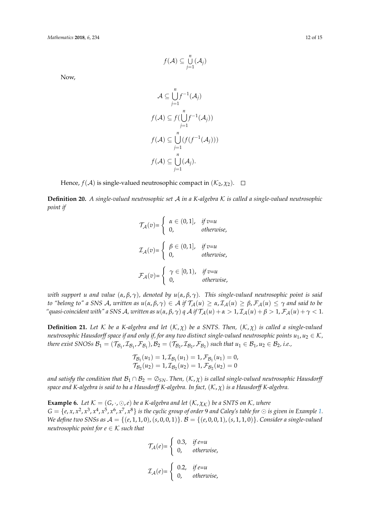Now,

$$
\mathcal{A} \subseteq \bigcup_{j=1}^{n} f^{-1}(\mathcal{A}_j)
$$
\n
$$
f(\mathcal{A}) \subseteq f(\bigcup_{j=1}^{n} f^{-1}(\mathcal{A}_j))
$$
\n
$$
f(\mathcal{A}) \subseteq \bigcup_{j=1}^{n} (f(f^{-1}(\mathcal{A}_j)))
$$
\n
$$
f(\mathcal{A}) \subseteq \bigcup_{j=1}^{n} (\mathcal{A}_j).
$$

Hence,  $f(A)$  is single-valued neutrosophic compact in  $(\mathcal{K}_2, \chi_2)$ .  $\Box$ 

**Definition 20.** *A single-valued neutrosophic set* A *in a K-algebra* K *is called a single-valued neutrosophic point if*

$$
\mathcal{T}_{\mathcal{A}}(v) = \begin{cases}\n\alpha \in (0, 1], & \text{if } v = u \\
0, & \text{otherwise,} \n\end{cases}
$$
\n
$$
\mathcal{I}_{\mathcal{A}}(v) = \begin{cases}\n\beta \in (0, 1], & \text{if } v = u \\
0, & \text{otherwise,} \n\end{cases}
$$
\n
$$
\mathcal{F}_{\mathcal{A}}(v) = \begin{cases}\n\gamma \in [0, 1), & \text{if } v = u \\
0, & \text{otherwise,} \n\end{cases}
$$

*with support u and value* (*α*, *β*, *γ*)*, denoted by u*(*α*, *β*, *γ*)*. This single-valued neutrosophic point is said to "belong to" a SNS A, written as*  $u(\alpha, \beta, \gamma) \in A$  *if*  $\mathcal{T}_\mathcal{A}(u) \geq \alpha$ ,  $\mathcal{I}_\mathcal{A}(u) \geq \beta$ ,  $\mathcal{F}_\mathcal{A}(u) \leq \gamma$  and said to be *"*quasi-coincident with" a SNS A, written as  $u(\alpha, \beta, \gamma)$  *q* A if  $\mathcal{T}_\mathcal{A}(u) + \alpha > 1$ ,  $\mathcal{I}_\mathcal{A}(u) + \beta > 1$ ,  $\mathcal{F}_\mathcal{A}(u) + \gamma < 1$ .

<span id="page-11-0"></span>**Definition 21.** Let  $K$  be a K-algebra and let  $(K, \chi)$  be a SNTS. Then,  $(K, \chi)$  is called a single-valued *neutrosophic Hausdorff space if and only if, for any two distinct single-valued neutrosophic points*  $u_1, u_2 \in \mathcal{K}$ *, there exist SNOSs*  $B_1 = (\mathcal{T}_{B_1}, \mathcal{I}_{B_1}, \mathcal{F}_{B_1})$ ,  $B_2 = (\mathcal{T}_{B_2}, \mathcal{I}_{B_2}, \mathcal{F}_{B_2})$  such that  $u_1 \in B_1$ ,  $u_2 \in B_2$ , i.e.,

$$
\mathcal{T}_{\mathcal{B}_1}(u_1) = 1, \mathcal{I}_{\mathcal{B}_1}(u_1) = 1, \mathcal{F}_{\mathcal{B}_1}(u_1) = 0, \n\mathcal{T}_{\mathcal{B}_2}(u_2) = 1, \mathcal{I}_{\mathcal{B}_2}(u_2) = 1, \mathcal{F}_{\mathcal{B}_2}(u_2) = 0
$$

*and satisfy the condition that*  $B_1 \cap B_2 = \emptyset_{SN}$ . *Then,*  $(K, \chi)$  *is called single-valued neutrosophic Hausdorff space and K-algebra is said to ba a Hausdorff K-algebra. In fact,* (K, *χ*) *is a Hausdorff K-algebra.*

**Example 6.** Let  $K = (G, \cdot, \odot, e)$  be a K-algebra and let  $(K, \chi_K)$  be a SNTS on K, where  $G=\{e,x,x^2,x^3,x^4,x^5,x^6,x^7,x^8\}$  is the cyclic group of order 9 and Caley's table for  $\odot$  is given in Example [1.](#page-3-0) *We define two SNSs as*  $A = \{(e, 1, 1, 0), (s, 0, 0, 1)\}$ .  $B = \{(e, 0, 0, 1), (s, 1, 1, 0)\}$ . *Consider a single-valued neutrosophic point for*  $e \in K$  *such that* 

$$
\mathcal{T}_{\mathcal{A}}(e) = \begin{cases} 0.3, & \text{if } e=u \\ 0, & \text{otherwise,} \end{cases}
$$

$$
\mathcal{I}_{\mathcal{A}}(e) = \begin{cases} 0.2, & \text{if } e=u \\ 0, & \text{otherwise,} \end{cases}
$$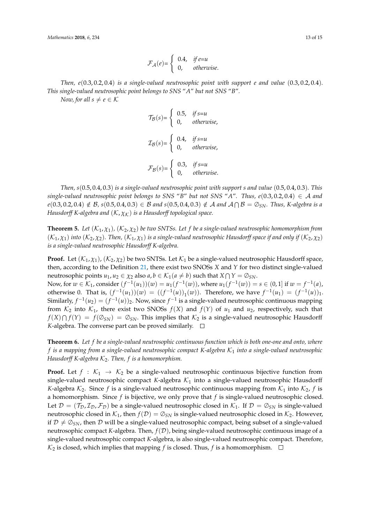*Then, e*(0.3, 0.2, 0.4) *is a single-valued neutrosophic point with support e and value* (0.3, 0.2, 0.4)*. This single-valued neutrosophic point belongs to SNS* "*A*" *but not SNS* "*B*"*.*

*Now, for all*  $s \neq e \in \mathcal{K}$ 

$$
\mathcal{T}_{\mathcal{B}}(s) = \begin{cases}\n0.5, & \text{if } s = u \\
0, & \text{otherwise,} \n\end{cases}
$$
\n
$$
\mathcal{I}_{\mathcal{B}}(s) = \begin{cases}\n0.4, & \text{if } s = u \\
0, & \text{otherwise,} \n\end{cases}
$$
\n
$$
\mathcal{F}_{\mathcal{B}}(s) = \begin{cases}\n0.3, & \text{if } s = u \\
0, & \text{otherwise.}\n\end{cases}
$$

*Then, s*(0.5, 0.4, 0.3) *is a single-valued neutrosophic point with support s and value* (0.5, 0.4, 0.3)*. This single-valued neutrosophic point belongs to SNS* "*B*" *but not SNS* "*A*". Thus,  $e(0.3, 0.2, 0.4) \in A$  and  $e(0.3,0.2,0.4) \notin \mathcal{B}$ ,  $s(0.5,0.4,0.3) \in \mathcal{B}$  and  $s(0.5,0.4,0.3) \notin \mathcal{A}$  and  $\mathcal{A} \cap \mathcal{B} = \emptyset_{SN}$ . Thus, K-algebra is a *Hausdorff K-algebra and*  $(K, \chi_K)$  *is a Hausdorff topological space.* 

**Theorem 5.** Let  $(K_1, \chi_1)$ ,  $(K_2, \chi_2)$  be two SNTSs. Let f be a single-valued neutrosophic homomorphism from  $(K_1, \chi_1)$  *into*  $(K_2, \chi_2)$ . Then,  $(K_1, \chi_1)$  *is a single-valued neutrosophic Hausdorff space if and only if*  $(K_2, \chi_2)$ *is a single-valued neutrosophic Hausdorff K-algebra.*

**Proof.** Let  $(K_1, \chi_1)$ ,  $(K_2, \chi_2)$  be two SNTSs. Let  $K_1$  be a single-valued neutrosophic Hausdorff space, then, according to the Definition [21,](#page-11-0) there exist two SNOSs *X* and *Y* for two distinct single-valued neutrosophic points  $u_1, u_2 \in \chi_2$  also  $a, b \in \mathcal{K}_1(a \neq b)$  such that  $X \cap Y = \varnothing_{SN}$ . Now, for *w* ∈  $K_1$ , consider  $(f^{-1}(u_1))(w) = u_1(f^{-1}(w))$ , where  $u_1(f^{-1}(w)) = s ∈ (0, 1]$  if  $w = f^{-1}(a)$ , otherwise 0. That is,  $(f^{-1}(u_1))(w) = ((f^{-1}(u))_1(w))$ . Therefore, we have  $f^{-1}(u_1) = (f^{-1}(u))_1$ . Similarly,  $f^{-1}(u_2) = (f^{-1}(u))_2$ . Now, since  $f^{-1}$  is a single-valued neutrosophic continuous mapping from  $K_2$  into  $K_1$ , there exist two SNOSs  $f(X)$  and  $f(Y)$  of  $u_1$  and  $u_2$ , respectively, such that  $f(X) \cap f(Y) = f(\mathcal{O}_{SN}) = \mathcal{O}_{SN}$ . This implies that  $\mathcal{K}_2$  is a single-valued neutrosophic Hausdorff *K*-algebra. The converse part can be proved similarly.  $\Box$ 

**Theorem 6.** *Let f be a single-valued neutrosophic continuous function which is both one-one and onto, where*  $f$  *is a mapping from a single-valued neutrosophic compact K-algebra*  $K_1$  *into a single-valued neutrosophic Hausdorff K-algebra*  $K_2$ *. Then, f is a homomorphism.* 

**Proof.** Let  $f : \mathcal{K}_1 \to \mathcal{K}_2$  be a single-valued neutrosophic continuous bijective function from single-valued neutrosophic compact *K*-algebra  $K_1$  into a single-valued neutrosophic Hausdorff *K*-algebra  $K_2$ . Since *f* is a single-valued neutrosophic continuous mapping from  $K_1$  into  $K_2$ , *f* is a homomorphism. Since *f* is bijective, we only prove that *f* is single-valued neutrosophic closed. Let  $\mathcal{D} = (\mathcal{T}_{\mathcal{D}}, \mathcal{I}_{\mathcal{D}}, \mathcal{F}_{\mathcal{D}})$  be a single-valued neutrosophic closed in  $\mathcal{K}_1$ . If  $\mathcal{D} = \mathcal{O}_{SN}$  is single-valued neutrosophic closed in  $K_1$ , then  $f(D) = \emptyset_{SN}$  is single-valued neutrosophic closed in  $K_2$ . However, if  $\mathcal{D} \neq \mathcal{O}_{SN}$ , then  $\mathcal{D}$  will be a single-valued neutrosophic compact, being subset of a single-valued neutrosophic compact *K*-algebra. Then,  $f(D)$ , being single-valued neutrosophic continuous image of a single-valued neutrosophic compact *K*-algebra, is also single-valued neutrosophic compact. Therefore,  $\mathcal{K}_2$  is closed, which implies that mapping *f* is closed. Thus, *f* is a homomorphism.  $\Box$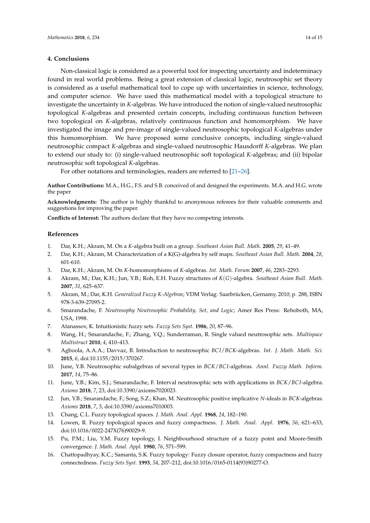#### **4. Conclusions**

Non-classical logic is considered as a powerful tool for inspecting uncertainty and indeterminacy found in real world problems. Being a great extension of classical logic, neutrosophic set theory is considered as a useful mathematical tool to cope up with uncertainties in science, technology, and computer science. We have used this mathematical model with a topological structure to investigate the uncertainty in *K*-algebras. We have introduced the notion of single-valued neutrosophic topological *K*-algebras and presented certain concepts, including continuous function between two topological on *K*-algebras, relatively continuous function and homomorphism. We have investigated the image and pre-image of single-valued neutrosophic topological *K*-algebras under this homomorphism. We have proposed some conclusive concepts, including single-valued neutrosophic compact *K*-algebras and single-valued neutrosophic Hausdorff *K*-algebras. We plan to extend our study to: (i) single-valued neutrosophic soft topological *K*-algebras; and (ii) bipolar neutrosophic soft topological *K*-algebras.

For other notations and terminologies, readers are referred to [\[21–](#page-14-4)[26\]](#page-14-5).

**Author Contributions:** M.A., H.G., F.S. and S.B. conceived of and designed the experiments. M.A. and H.G. wrote the paper

**Acknowledgments:** The author is highly thankful to anonymous referees for their valuable comments and suggestions for improving the paper.

**Conflicts of Interest:** The authors declare that they have no competing interests.

#### **References**

- <span id="page-13-0"></span>1. Dar, K.H.; Akram, M. On a *K*-algebra built on a group. *Southeast Asian Bull. Math.* **2005**, *29*, 41–49.
- 2. Dar, K.H.; Akram, M. Characterization of a K(G)-algebra by self maps. *Southeast Asian Bull. Math.* **2004**, *28*, 601-610.
- <span id="page-13-1"></span>3. Dar, K.H.; Akram, M. On *K*-homomorphisms of *K*-algebras. *Int. Math. Forum* **2007**, *46*, 2283–2293.
- <span id="page-13-2"></span>4. Akram, M.; Dar, K.H.; Jun, Y.B.; Roh, E.H. Fuzzy structures of *K*(*G*)-algebra. *Southeast Asian Bull. Math.* **2007**, *31*, 625–637.
- <span id="page-13-3"></span>5. Akram, M.; Dar, K.H. *Generalized Fuzzy K-Algebras*; VDM Verlag: Saarbrücken, Gernamy, 2010; p. 288, ISBN 978-3-639-27095-2.
- <span id="page-13-4"></span>6. Smarandache, F. *Neutrosophy Neutrosophic Probability, Set, and Logic*; Amer Res Press: Rehoboth, MA, USA, 1998.
- <span id="page-13-5"></span>7. Atanassov, K. Intuitionistic fuzzy sets. *Fuzzy Sets Syst.* **1986**, *20*, 87–96.
- <span id="page-13-6"></span>8. Wang, H.; Smarandache, F.; Zhang, Y.Q.; Sunderraman, R. Single valued neutrosophic sets. *Multispace Multistruct* **2010**, *4*, 410–413.
- <span id="page-13-7"></span>9. Agboola, A.A.A.; Davvaz, B. Introduction to neutrosophic *BC I*/*BCK*-algebras. *Int. J. Math. Math. Sci.* **2015**, *6*, doi:10.1155/2015/370267.
- <span id="page-13-8"></span>10. June, Y.B. Neutrosophic subalgebras of several types in *BCK*/*BC I*-algebras. *Annl. Fuzzy Math. Inform.* **2017**, *14*, 75–86.
- <span id="page-13-9"></span>11. June, Y.B.; Kim, S.J.; Smarandache, F. Interval neutrosophic sets with applications in *BCK*/*BC I*-algebra. *Axioms* **2018**, *7*, 23, doi:10.3390/axioms7020023.
- <span id="page-13-10"></span>12. Jun, Y.B.; Smarandache, F.; Song, S.Z.; Khan, M. Neutrosophic positive implicative *N*-ideals in *BCK*-algebras. *Axioms* **2018**, *7*, 3, doi:10.3390/axioms7010003.
- <span id="page-13-12"></span><span id="page-13-11"></span>13. Chang, C.L. Fuzzy topological spaces. *J. Math. Anal. Appl.* **1968**, *24*, 182–190.
- 14. Lowen, R. Fuzzy topological spaces and fuzzy compactness. *J. Math. Anal. Appl.* **1976**, *56*, 621–633, doi:10.1016/0022-247X(76)90029-9.
- <span id="page-13-13"></span>15. Pu, P.M.; Liu, Y.M. Fuzzy topology, I. Neighbourhood structure of a fuzzy point and Moore-Smith convergence. *J. Math. Anal. Appl.* **1980**, *76*, 571–599.
- <span id="page-13-14"></span>16. Chattopadhyay, K.C.; Samanta, S.K. Fuzzy topology: Fuzzy closure operator, fuzzy compactness and fuzzy connectedness. *Fuzzy Sets Syst.* **1993**, *54*, 207–212, doi:10.1016/0165-0114(93)90277-O.